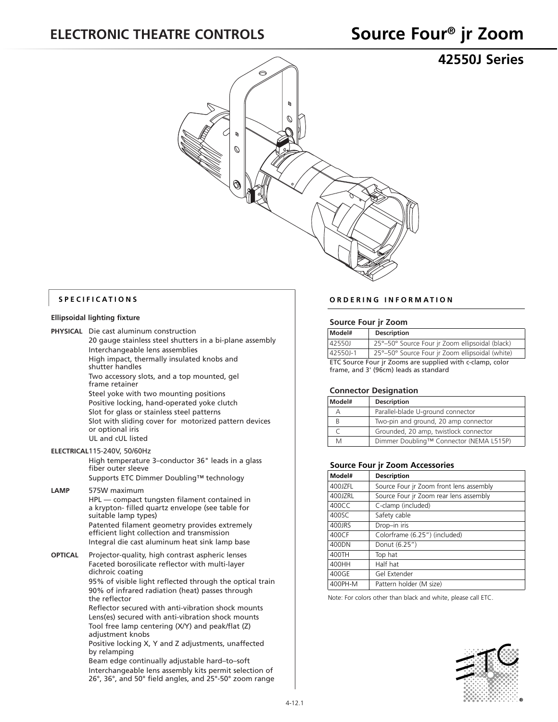**42550J Series**



#### **SPECIFICATIONS**

#### **Ellipsoidal lighting fixture**

**PHYSICAL** Die cast aluminum construction

20 gauge stainless steel shutters in a bi-plane assembly Interchangeable lens assemblies High impact, thermally insulated knobs and shutter handles Two accessory slots, and a top mounted, gel frame retainer Steel yoke with two mounting positions Positive locking, hand-operated yoke clutch Slot for glass or stainless steel patterns Slot with sliding cover for motorized pattern devices or optional iris UL and cUL listed **ELECTRICAL**115-240V, 50/60Hz

High temperature 3–conductor 36" leads in a glass fiber outer sleeve Supports ETC Dimmer Doubling™ technology

#### **LAMP** 575W maximum HPL — compact tungsten filament contained in a krypton- filled quartz envelope (see table for suitable lamp types) Patented filament geometry provides extremely

efficient light collection and transmission Integral die cast aluminum heat sink lamp base

**OPTICAL** Projector-quality, high contrast aspheric lenses Faceted borosilicate reflector with multi-layer dichroic coating 95% of visible light reflected through the optical train

90% of infrared radiation (heat) passes through the reflector

Reflector secured with anti-vibration shock mounts Lens(es) secured with anti-vibration shock mounts Tool free lamp centering (X/Y) and peak/flat (Z) adjustment knobs

Positive locking X, Y and Z adjustments, unaffected by relamping

Beam edge continually adjustable hard–to–soft Interchangeable lens assembly kits permit selection of 26°, 36°, and 50° field angles, and 25°-50° zoom range

#### **ORDERING INFORMATION**

#### **Source Four jr Zoom**

| Model#                                                    | <b>Description</b>                              |  |  |  |
|-----------------------------------------------------------|-------------------------------------------------|--|--|--|
| 42550J                                                    | 25°-50° Source Four ir Zoom ellipsoidal (black) |  |  |  |
| $142550J-1$                                               | 25°-50° Source Four ir Zoom ellipsoidal (white) |  |  |  |
| ETC Source Four jr Zooms are supplied with c-clamp, color |                                                 |  |  |  |
| frame, and 3' (96cm) leads as standard                    |                                                 |  |  |  |

#### **Connector Designation**

| Model# | <b>Description</b>                      |  |  |  |
|--------|-----------------------------------------|--|--|--|
| А      | Parallel-blade U-ground connector       |  |  |  |
| R      | Two-pin and ground, 20 amp connector    |  |  |  |
|        | Grounded, 20 amp, twistlock connector   |  |  |  |
| M      | Dimmer Doubling™ Connector (NEMA L515P) |  |  |  |

#### **Source Four jr Zoom Accessories**

| Model#  | <b>Description</b>                      |
|---------|-----------------------------------------|
| 400JZFL | Source Four jr Zoom front lens assembly |
| 400JZRL | Source Four jr Zoom rear lens assembly  |
| 400CC   | C-clamp (included)                      |
| 400SC   | Safety cable                            |
| 400JRS  | Drop-in iris                            |
| 400CF   | Colorframe (6.25") (included)           |
| 400DN   | Donut (6.25")                           |
| 400TH   | Top hat                                 |
| 400HH   | Half hat                                |
| 400GE   | Gel Extender                            |
| 400PH-M | Pattern holder (M size)                 |

Note: For colors other than black and white, please call ETC.

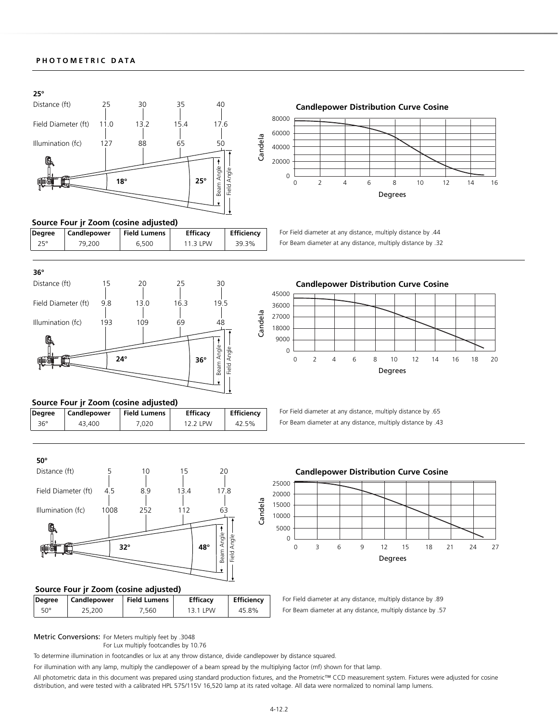#### **PHOTOMETRIC DATA**



### **Source Four jr Zoom (cosine adjusted)**

| Degree | Candlepower | <b>Field Lumens</b> | <b>Efficacy</b> | <b>Efficiency</b> |
|--------|-------------|---------------------|-----------------|-------------------|
| 25°    | 79.200      | 6.500               | 11.3 LPW        | 39.3%             |





# 0 2 4 6 8 10 12 14 16 Degrees

For Field diameter at any distance, multiply distance by .44 For Beam diameter at any distance, multiply distance by .32

For Field diameter at any distance, multiply distance by .65 For Beam diameter at any distance, multiply distance by .43



#### **Source Four jr Zoom (cosine adjusted)**

| Degree | <b>Candlepower</b> | <b>Field Lumens</b> | <b>Efficacy</b> | <b>Efficiency</b> |  |
|--------|--------------------|---------------------|-----------------|-------------------|--|
| 36°    | 43.400             | 020.'               | 12 2 I PW       | 42.5%             |  |



#### **Source Four jr Zoom (cosine adjusted)**

| Degree       | Candlepower | <b>Field Lumens</b> | <b>Efficacy</b> | <b>Efficiency</b> |  |
|--------------|-------------|---------------------|-----------------|-------------------|--|
| $50^{\circ}$ | 25,200      | 7.560               | 13 1 I PW       | 45.8%             |  |



For Field diameter at any distance, multiply distance by .89 For Beam diameter at any distance, multiply distance by .57

#### Metric Conversions: For Meters multiply feet by .3048

For Lux multiply footcandles by 10.76

To determine illumination in footcandles or lux at any throw distance, divide candlepower by distance squared.

For illumination with any lamp, multiply the candlepower of a beam spread by the multiplying factor (mf) shown for that lamp.

All photometric data in this document was prepared using standard production fixtures, and the Prometric™ CCD measurement system. Fixtures were adjusted for cosine distribution, and were tested with a calibrated HPL 575/115V 16,520 lamp at its rated voltage. All data were normalized to nominal lamp lumens.

#### 4-12.2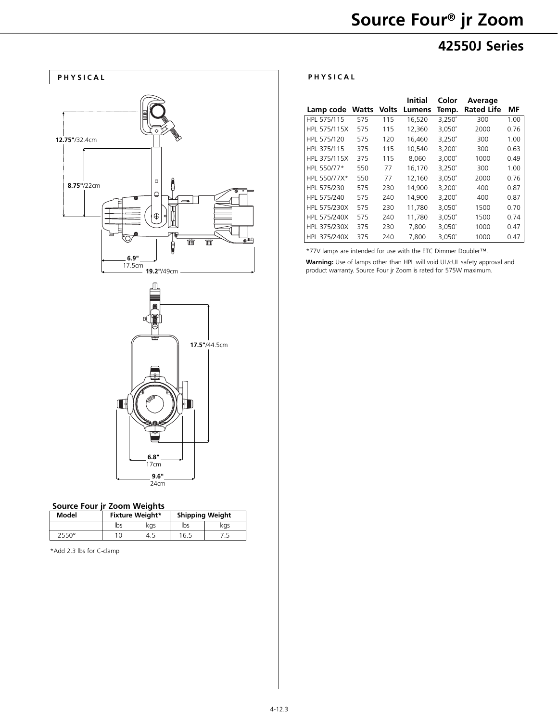

## **42550J Series**



#### **Source Four jr Zoom Weights**

| Model | <b>Fixture Weight*</b> |     | <b>Shipping Weight</b> |     |
|-------|------------------------|-----|------------------------|-----|
|       | lbs                    | kas | lbs                    | kgs |
| 2550° | 10                     | 4.  | 16.5                   |     |

\*Add 2.3 lbs for C-clamp

| Lamp code    | <b>Watts</b> | <b>Volts</b> | Initial<br>Lumens | Color<br>Temp.  | Average<br><b>Rated Life</b> | МF   |
|--------------|--------------|--------------|-------------------|-----------------|------------------------------|------|
| HPL 575/115  | 575          | 115          | 16.520            | $3,250^\circ$   | 300                          | 1.00 |
| HPL 575/115X | 575          | 115          | 12,360            | $3.050^{\circ}$ | 2000                         | 0.76 |
| HPL 575/120  | 575          | 120          | 16,460            | $3,250^\circ$   | 300                          | 1.00 |
| HPL 375/115  | 375          | 115          | 10,540            | $3,200^\circ$   | 300                          | 0.63 |
| HPL 375/115X | 375          | 115          | 8.060             | $3,000^{\circ}$ | 1000                         | 0.49 |
| HPL 550/77*  | 550          | 77           | 16.170            | $3.250^{\circ}$ | 300                          | 1.00 |
| HPL 550/77X* | 550          | 77           | 12,160            | $3,050^\circ$   | 2000                         | 0.76 |
| HPL 575/230  | 575          | 230          | 14.900            | $3.200^{\circ}$ | 400                          | 0.87 |
| HPL 575/240  | 575          | 240          | 14.900            | $3,200^\circ$   | 400                          | 0.87 |
| HPL 575/230X | 575          | 230          | 11.780            | $3,050^\circ$   | 1500                         | 0.70 |
| HPL 575/240X | 575          | 240          | 11.780            | $3,050^\circ$   | 1500                         | 0.74 |
| HPL 375/230X | 375          | 230          | 7,800             | $3,050^\circ$   | 1000                         | 0.47 |
| HPL 375/240X | 375          | 240          | 7.800             | $3,050^\circ$   | 1000                         | 0.47 |

\*77V lamps are intended for use with the ETC Dimmer Doubler™.

**Warning:** Use of lamps other than HPL will void UL/cUL safety approval and product warranty. Source Four jr Zoom is rated for 575W maximum.